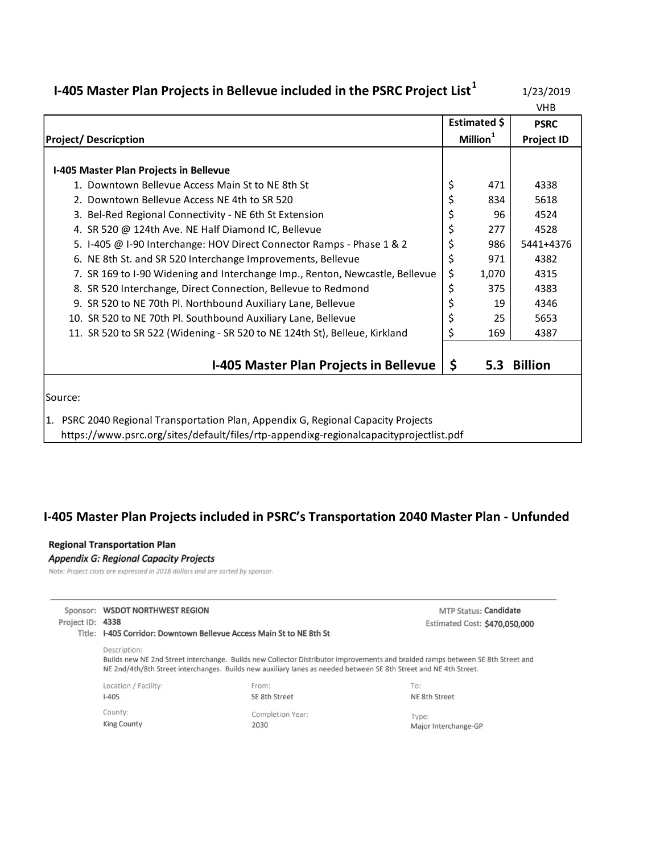# **I-405 Master Plan Projects in Bellevue included in the PSRC Project List<sup>1</sup>**

1/23/2019

|                                                                                        |                      | <b>VHB</b>        |
|----------------------------------------------------------------------------------------|----------------------|-------------------|
|                                                                                        | Estimated \$         | <b>PSRC</b>       |
| <b>Project/Descricption</b>                                                            | Million <sup>1</sup> | <b>Project ID</b> |
|                                                                                        |                      |                   |
| I-405 Master Plan Projects in Bellevue                                                 |                      |                   |
| 1. Downtown Bellevue Access Main St to NE 8th St                                       | \$<br>471            | 4338              |
| 2. Downtown Bellevue Access NE 4th to SR 520                                           | \$<br>834            | 5618              |
| 3. Bel-Red Regional Connectivity - NE 6th St Extension                                 | \$<br>96             | 4524              |
| 4. SR 520 @ 124th Ave. NE Half Diamond IC, Bellevue                                    | \$<br>277            | 4528              |
| 5. I-405 @ I-90 Interchange: HOV Direct Connector Ramps - Phase 1 & 2                  | \$<br>986            | 5441+4376         |
| 6. NE 8th St. and SR 520 Interchange Improvements, Bellevue                            | \$<br>971            | 4382              |
| 7. SR 169 to I-90 Widening and Interchange Imp., Renton, Newcastle, Bellevue           | \$<br>1,070          | 4315              |
| 8. SR 520 Interchange, Direct Connection, Bellevue to Redmond                          | \$<br>375            | 4383              |
| 9. SR 520 to NE 70th Pl. Northbound Auxiliary Lane, Bellevue                           | \$<br>19             | 4346              |
| 10. SR 520 to NE 70th Pl. Southbound Auxiliary Lane, Bellevue                          | \$<br>25             | 5653              |
| 11. SR 520 to SR 522 (Widening - SR 520 to NE 124th St), Belleue, Kirkland             | \$<br>169            | 4387              |
|                                                                                        |                      |                   |
| <b>I-405 Master Plan Projects in Bellevue</b>                                          | \$<br>5.3            | <b>Billion</b>    |
|                                                                                        |                      |                   |
| Source:                                                                                |                      |                   |
| 1. PSRC 2040 Regional Transportation Plan, Appendix G, Regional Capacity Projects      |                      |                   |
| https://www.psrc.org/sites/default/files/rtp-appendixg-regionalcapacityprojectlist.pdf |                      |                   |

### **I-405 Master Plan Projects included in PSRC's Transportation 2040 Master Plan - Unfunded**

#### **Regional Transportation Plan**

### **Appendix G: Regional Capacity Projects**

Note: Project costs are expressed in 2018 dollars and are sorted by sponsor.

|                  | Sponsor: WSDOT NORTHWEST REGION                                      |                                                                                                                   | <b>MTP Status: Candidate</b>                                                                                                    |  |
|------------------|----------------------------------------------------------------------|-------------------------------------------------------------------------------------------------------------------|---------------------------------------------------------------------------------------------------------------------------------|--|
| Project ID: 4338 |                                                                      |                                                                                                                   | Estimated Cost: \$470,050,000                                                                                                   |  |
|                  | Title: I-405 Corridor: Downtown Bellevue Access Main St to NE 8th St |                                                                                                                   |                                                                                                                                 |  |
|                  | Description:                                                         | NE 2nd/4th/8th Street interchanges. Builds new auxiliary lanes as needed between SE 8th Street and NE 4th Street. | Builds new NE 2nd Street interchange. Builds new Collector Distributor improvements and braided ramps between SE 8th Street and |  |
|                  | Location / Facility:                                                 | From:                                                                                                             | To:                                                                                                                             |  |
|                  | $1-405$                                                              | SE 8th Street                                                                                                     | NE 8th Street                                                                                                                   |  |
|                  | County:                                                              | Completion Year:                                                                                                  | Type:                                                                                                                           |  |
|                  |                                                                      |                                                                                                                   |                                                                                                                                 |  |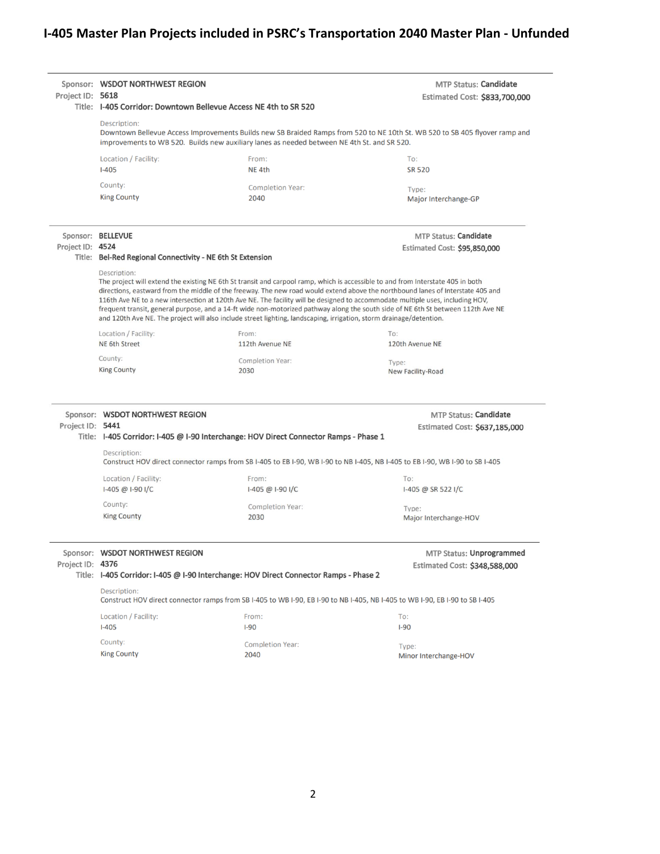# **I-405 Master Plan Projects included in PSRC's Transportation 2040 Master Plan - Unfunded**

| Project ID: 5618  | Sponsor: WSDOT NORTHWEST REGION                                                                                                                                                                                                            | Title: I-405 Corridor: Downtown Bellevue Access NE 4th to SR 520                                                    | MTP Status: Candidate<br>Estimated Cost: \$833,700,000                                                                                                                                                                                                                                                                                                                                                                                                                                                                                   |  |
|-------------------|--------------------------------------------------------------------------------------------------------------------------------------------------------------------------------------------------------------------------------------------|---------------------------------------------------------------------------------------------------------------------|------------------------------------------------------------------------------------------------------------------------------------------------------------------------------------------------------------------------------------------------------------------------------------------------------------------------------------------------------------------------------------------------------------------------------------------------------------------------------------------------------------------------------------------|--|
|                   | Description:<br>Downtown Bellevue Access Improvements Builds new SB Braided Ramps from 520 to NE 10th St. WB 520 to SB 405 flyover ramp and<br>improvements to WB 520. Builds new auxiliary lanes as needed between NE 4th St. and SR 520. |                                                                                                                     |                                                                                                                                                                                                                                                                                                                                                                                                                                                                                                                                          |  |
|                   | Location / Facility:                                                                                                                                                                                                                       | From:                                                                                                               | To:                                                                                                                                                                                                                                                                                                                                                                                                                                                                                                                                      |  |
|                   | $I-405$                                                                                                                                                                                                                                    | NE <sub>4th</sub>                                                                                                   | <b>SR 520</b>                                                                                                                                                                                                                                                                                                                                                                                                                                                                                                                            |  |
|                   | County:                                                                                                                                                                                                                                    | <b>Completion Year:</b>                                                                                             | Type:                                                                                                                                                                                                                                                                                                                                                                                                                                                                                                                                    |  |
|                   | <b>King County</b>                                                                                                                                                                                                                         | 2040                                                                                                                | Major Interchange-GP                                                                                                                                                                                                                                                                                                                                                                                                                                                                                                                     |  |
| Sponsor: BELLEVUE |                                                                                                                                                                                                                                            |                                                                                                                     | <b>MTP Status: Candidate</b>                                                                                                                                                                                                                                                                                                                                                                                                                                                                                                             |  |
| Project ID: 4524  |                                                                                                                                                                                                                                            |                                                                                                                     | Estimated Cost: \$95,850,000                                                                                                                                                                                                                                                                                                                                                                                                                                                                                                             |  |
|                   | Title: Bel-Red Regional Connectivity - NE 6th St Extension                                                                                                                                                                                 |                                                                                                                     |                                                                                                                                                                                                                                                                                                                                                                                                                                                                                                                                          |  |
|                   | Description:                                                                                                                                                                                                                               | and 120th Ave NE. The project will also include street lighting, landscaping, irrigation, storm drainage/detention. | The project will extend the existing NE 6th St transit and carpool ramp, which is accessible to and from Interstate 405 in both<br>directions, eastward from the middle of the freeway. The new road would extend above the northbound lanes of Interstate 405 and<br>116th Ave NE to a new intersection at 120th Ave NE. The facility will be designed to accommodate multiple uses, including HOV,<br>frequent transit, general purpose, and a 14-ft wide non-motorized pathway along the south side of NE 6th St between 112th Ave NE |  |
|                   | Location / Facility:                                                                                                                                                                                                                       | From:                                                                                                               | To:                                                                                                                                                                                                                                                                                                                                                                                                                                                                                                                                      |  |
|                   | <b>NE 6th Street</b>                                                                                                                                                                                                                       | 112th Avenue NE                                                                                                     | 120th Avenue NE                                                                                                                                                                                                                                                                                                                                                                                                                                                                                                                          |  |
|                   | County:<br>Completion Year:<br>Type:                                                                                                                                                                                                       |                                                                                                                     |                                                                                                                                                                                                                                                                                                                                                                                                                                                                                                                                          |  |
|                   |                                                                                                                                                                                                                                            |                                                                                                                     |                                                                                                                                                                                                                                                                                                                                                                                                                                                                                                                                          |  |
|                   | <b>King County</b>                                                                                                                                                                                                                         | 2030                                                                                                                | New Facility-Road                                                                                                                                                                                                                                                                                                                                                                                                                                                                                                                        |  |
| Project ID: 5441  | Sponsor: WSDOT NORTHWEST REGION                                                                                                                                                                                                            | Title: I-405 Corridor: I-405 @ I-90 Interchange: HOV Direct Connector Ramps - Phase 1                               | <b>MTP Status: Candidate</b><br>Estimated Cost: \$637,185,000                                                                                                                                                                                                                                                                                                                                                                                                                                                                            |  |
|                   | Description:                                                                                                                                                                                                                               |                                                                                                                     | Construct HOV direct connector ramps from SB I-405 to EB I-90, WB I-90 to NB I-405, NB I-405 to EB I-90, WB I-90 to SB I-405                                                                                                                                                                                                                                                                                                                                                                                                             |  |
|                   | Location / Facility:                                                                                                                                                                                                                       | From:                                                                                                               | To:                                                                                                                                                                                                                                                                                                                                                                                                                                                                                                                                      |  |
|                   | 1-405 @ 1-90 I/C                                                                                                                                                                                                                           | 1-405 @ I-90 I/C                                                                                                    | I-405 @ SR 522 I/C                                                                                                                                                                                                                                                                                                                                                                                                                                                                                                                       |  |
|                   | County:                                                                                                                                                                                                                                    | Completion Year:                                                                                                    |                                                                                                                                                                                                                                                                                                                                                                                                                                                                                                                                          |  |
|                   | <b>King County</b>                                                                                                                                                                                                                         | 2030                                                                                                                | Type:<br>Major Interchange-HOV                                                                                                                                                                                                                                                                                                                                                                                                                                                                                                           |  |
| Project ID: 4376  | Sponsor: WSDOT NORTHWEST REGION                                                                                                                                                                                                            |                                                                                                                     | MTP Status: Unprogrammed<br>Estimated Cost: \$348,588,000                                                                                                                                                                                                                                                                                                                                                                                                                                                                                |  |
|                   | Description:                                                                                                                                                                                                                               | Title: I-405 Corridor: I-405 @ I-90 Interchange: HOV Direct Connector Ramps - Phase 2                               |                                                                                                                                                                                                                                                                                                                                                                                                                                                                                                                                          |  |
|                   |                                                                                                                                                                                                                                            |                                                                                                                     | Construct HOV direct connector ramps from SB I-405 to WB I-90, EB I-90 to NB I-405, NB I-405 to WB I-90, EB I-90 to SB I-405                                                                                                                                                                                                                                                                                                                                                                                                             |  |
|                   | Location / Facility:                                                                                                                                                                                                                       | From:                                                                                                               | To:                                                                                                                                                                                                                                                                                                                                                                                                                                                                                                                                      |  |
|                   | $I-405$                                                                                                                                                                                                                                    | $I-90$                                                                                                              | $I-90$                                                                                                                                                                                                                                                                                                                                                                                                                                                                                                                                   |  |
|                   | County:<br><b>King County</b>                                                                                                                                                                                                              | <b>Completion Year:</b><br>2040                                                                                     | Type:                                                                                                                                                                                                                                                                                                                                                                                                                                                                                                                                    |  |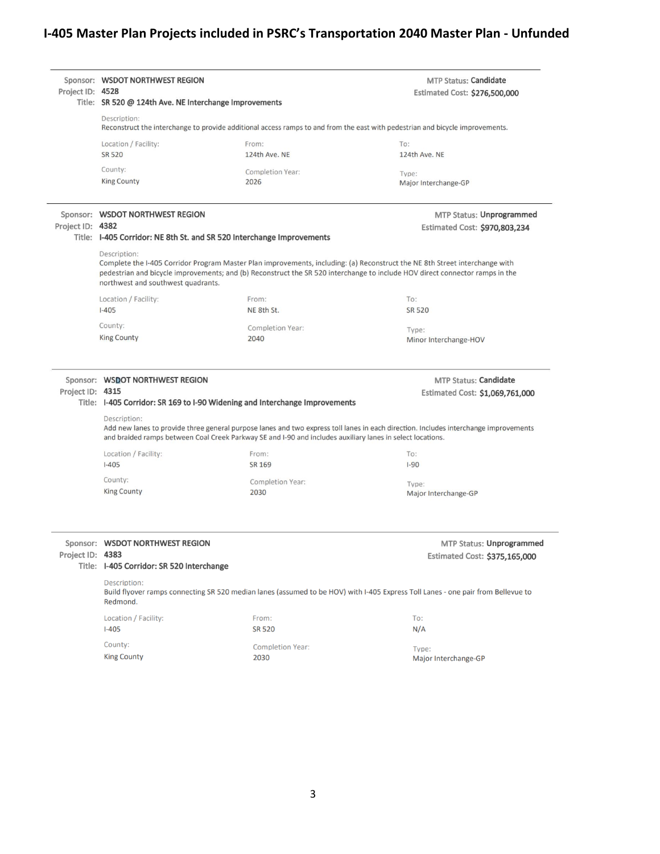# **I-405 Master Plan Projects included in PSRC's Transportation 2040 Master Plan - Unfunded**

| Project ID: 4528 | Sponsor: WSDOT NORTHWEST REGION<br>Title: SR 520 @ 124th Ave. NE Interchange Improvements                                                                                                                                                                                                                                                                                                  |                                                                                                            | MTP Status: Candidate<br>Estimated Cost: \$276,500,000                                                                               |  |
|------------------|--------------------------------------------------------------------------------------------------------------------------------------------------------------------------------------------------------------------------------------------------------------------------------------------------------------------------------------------------------------------------------------------|------------------------------------------------------------------------------------------------------------|--------------------------------------------------------------------------------------------------------------------------------------|--|
|                  | Description:<br>Reconstruct the interchange to provide additional access ramps to and from the east with pedestrian and bicycle improvements.                                                                                                                                                                                                                                              |                                                                                                            |                                                                                                                                      |  |
|                  | Location / Facility:<br><b>SR 520</b>                                                                                                                                                                                                                                                                                                                                                      | From:<br>124th Ave. NE                                                                                     | To:<br>124th Ave. NE                                                                                                                 |  |
|                  | County:<br><b>King County</b>                                                                                                                                                                                                                                                                                                                                                              | Completion Year:<br>2026                                                                                   | Type:<br>Major Interchange-GP                                                                                                        |  |
| Project ID: 4382 | Sponsor: WSDOT NORTHWEST REGION                                                                                                                                                                                                                                                                                                                                                            |                                                                                                            | MTP Status: Unprogrammed<br>Estimated Cost: \$970,803,234                                                                            |  |
|                  | Title: I-405 Corridor: NE 8th St. and SR 520 Interchange Improvements<br>Description:<br>Complete the I-405 Corridor Program Master Plan improvements, including: (a) Reconstruct the NE 8th Street interchange with<br>pedestrian and bicycle improvements; and (b) Reconstruct the SR 520 interchange to include HOV direct connector ramps in the<br>northwest and southwest quadrants. |                                                                                                            |                                                                                                                                      |  |
|                  | Location / Facility:                                                                                                                                                                                                                                                                                                                                                                       | From:                                                                                                      | To:                                                                                                                                  |  |
|                  | $I - 405$                                                                                                                                                                                                                                                                                                                                                                                  | NE 8th St.                                                                                                 | <b>SR 520</b>                                                                                                                        |  |
|                  | County:                                                                                                                                                                                                                                                                                                                                                                                    | Completion Year:                                                                                           | Type:                                                                                                                                |  |
|                  | <b>King County</b>                                                                                                                                                                                                                                                                                                                                                                         | 2040                                                                                                       | Minor Interchange-HOV                                                                                                                |  |
| Project ID: 4315 | Sponsor: WSDOT NORTHWEST REGION                                                                                                                                                                                                                                                                                                                                                            | Title: I-405 Corridor: SR 169 to I-90 Widening and Interchange Improvements                                | <b>MTP Status: Candidate</b><br>Estimated Cost: \$1,069,761,000                                                                      |  |
|                  | Description:                                                                                                                                                                                                                                                                                                                                                                               | and braided ramps between Coal Creek Parkway SE and I-90 and includes auxiliary lanes in select locations. | Add new lanes to provide three general purpose lanes and two express toll lanes in each direction. Includes interchange improvements |  |
|                  | Location / Facility:                                                                                                                                                                                                                                                                                                                                                                       | From:                                                                                                      | To:                                                                                                                                  |  |
|                  | $1 - 405$                                                                                                                                                                                                                                                                                                                                                                                  | SR 169                                                                                                     | $I-90$                                                                                                                               |  |
|                  | County:<br><b>King County</b>                                                                                                                                                                                                                                                                                                                                                              | Completion Year:<br>2030                                                                                   | Type:<br>Major Interchange-GP                                                                                                        |  |
| Project ID: 4383 | Sponsor: WSDOT NORTHWEST REGION<br>Title: I-405 Corridor: SR 520 Interchange                                                                                                                                                                                                                                                                                                               |                                                                                                            | MTP Status: Unprogrammed<br>Estimated Cost: \$375,165,000                                                                            |  |
|                  | Description:<br>Redmond.                                                                                                                                                                                                                                                                                                                                                                   |                                                                                                            | Build flyover ramps connecting SR 520 median lanes (assumed to be HOV) with I-405 Express Toll Lanes - one pair from Bellevue to     |  |
|                  | Location / Facility:<br>$I-405$                                                                                                                                                                                                                                                                                                                                                            | From:<br><b>SR 520</b>                                                                                     | To:<br>N/A                                                                                                                           |  |
|                  | County:                                                                                                                                                                                                                                                                                                                                                                                    | <b>Completion Year:</b>                                                                                    | Type:                                                                                                                                |  |